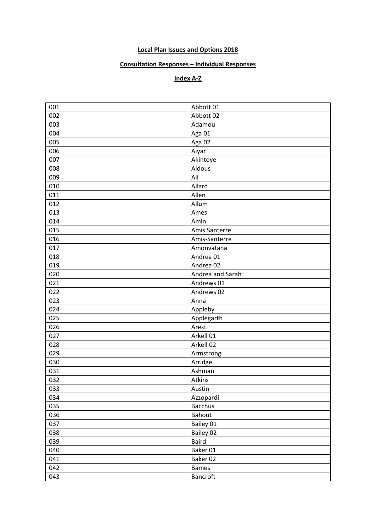## **Local Plan Issues and Options 2018**

## **Consultation Responses – Individual Responses**

## **Index A-Z**

| 001 | Abbott 01        |
|-----|------------------|
| 002 | Abbott 02        |
| 003 | Adamou           |
| 004 | Aga 01           |
| 005 | Aga 02           |
| 006 | Aiyar            |
| 007 | Akintoye         |
| 008 | Aldous           |
| 009 | Ali              |
| 010 | Allard           |
| 011 | Allen            |
| 012 | Allum            |
| 013 | Ames             |
| 014 | Amin             |
| 015 | Amis.Santerre    |
| 016 | Amis-Santerre    |
| 017 | Amonvatana       |
| 018 | Andrea 01        |
| 019 | Andrea 02        |
| 020 | Andrea and Sarah |
| 021 | Andrews 01       |
| 022 | Andrews 02       |
| 023 | Anna             |
| 024 | Appleby          |
| 025 | Applegarth       |
| 026 | Aresti           |
| 027 | Arkell 01        |
| 028 | Arkell 02        |
| 029 | Armstrong        |
| 030 | Arridge          |
| 031 | Ashman           |
| 032 | Atkins           |
| 033 | Austin           |
| 034 | Azzopardi        |
| 035 | <b>Bacchus</b>   |
| 036 | Bahout           |
| 037 | Bailey 01        |
| 038 | Bailey 02        |
| 039 | <b>Baird</b>     |
| 040 | Baker 01         |
| 041 | Baker 02         |
| 042 | <b>Bames</b>     |
| 043 | Bancroft         |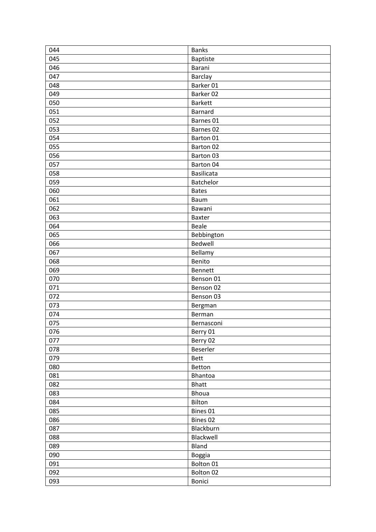| 044 | <b>Banks</b>      |
|-----|-------------------|
| 045 | <b>Baptiste</b>   |
| 046 | Barani            |
| 047 | Barclay           |
| 048 | Barker 01         |
| 049 | Barker 02         |
| 050 | <b>Barkett</b>    |
| 051 | Barnard           |
| 052 | Barnes 01         |
| 053 | Barnes 02         |
| 054 | Barton 01         |
| 055 | Barton 02         |
| 056 | Barton 03         |
| 057 | Barton 04         |
| 058 | <b>Basilicata</b> |
| 059 | Batchelor         |
| 060 | <b>Bates</b>      |
| 061 | Baum              |
| 062 | Bawani            |
| 063 | Baxter            |
| 064 | Beale             |
| 065 | Bebbington        |
| 066 | Bedwell           |
| 067 | Bellamy           |
| 068 | Benito            |
| 069 | Bennett           |
| 070 | Benson 01         |
| 071 | Benson 02         |
| 072 | Benson 03         |
| 073 | Bergman           |
| 074 | Berman            |
| 075 | Bernasconi        |
| 076 | Berry 01          |
| 077 | Berry 02          |
| 078 | Beserler          |
| 079 | <b>Bett</b>       |
| 080 | Betton            |
| 081 | Bhantoa           |
| 082 | <b>Bhatt</b>      |
| 083 | Bhoua             |
| 084 | Bilton            |
| 085 | Bines 01          |
| 086 | Bines 02          |
| 087 | Blackburn         |
| 088 | Blackwell         |
| 089 | Bland             |
| 090 | <b>Boggia</b>     |
| 091 | Bolton 01         |
| 092 | Bolton 02         |
| 093 | Bonici            |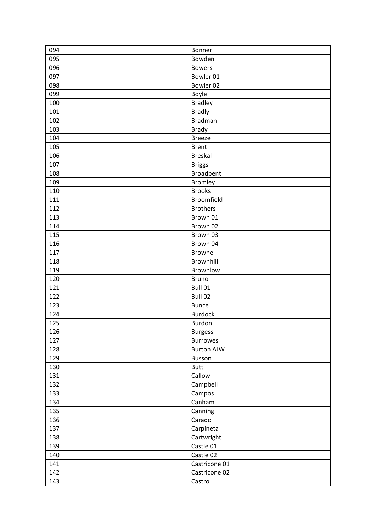| 094        | Bonner                            |
|------------|-----------------------------------|
| 095        | Bowden                            |
| 096        | <b>Bowers</b>                     |
| 097        | Bowler 01                         |
| 098        | Bowler 02                         |
| 099        | Boyle                             |
| 100        | <b>Bradley</b>                    |
| 101        | <b>Bradly</b>                     |
| 102        | <b>Bradman</b>                    |
| 103        | <b>Brady</b>                      |
| 104        | <b>Breeze</b>                     |
| 105        | <b>Brent</b>                      |
| 106        | <b>Breskal</b>                    |
| 107        | <b>Briggs</b>                     |
| 108        | <b>Broadbent</b>                  |
| 109        | <b>Bromley</b>                    |
| 110        | <b>Brooks</b>                     |
| 111        | Broomfield                        |
| 112        | <b>Brothers</b>                   |
| 113        | Brown 01                          |
| 114        | Brown 02                          |
| 115        | Brown 03                          |
| 116        | Brown 04                          |
| 117        | <b>Browne</b>                     |
| 118        | Brownhill                         |
| 119        | Brownlow                          |
| 120        | <b>Bruno</b>                      |
| 121        | Bull 01                           |
| 122        | Bull 02                           |
| 123        | <b>Bunce</b>                      |
| 124        | <b>Burdock</b>                    |
| 125        | <b>Burdon</b>                     |
|            |                                   |
| 126<br>127 | <b>Burgess</b><br><b>Burrowes</b> |
|            |                                   |
| 128        | <b>Burton AJW</b>                 |
| 129        | Busson                            |
| 130        | <b>Butt</b>                       |
| 131        | Callow                            |
| 132        | Campbell                          |
| 133        | Campos                            |
| 134        | Canham                            |
| 135        | Canning                           |
| 136        | Carado                            |
| 137        | Carpineta                         |
| 138        | Cartwright                        |
| 139        | Castle 01                         |
| 140        | Castle 02                         |
| 141        | Castricone 01                     |
| 142        | Castricone 02                     |
| 143        | Castro                            |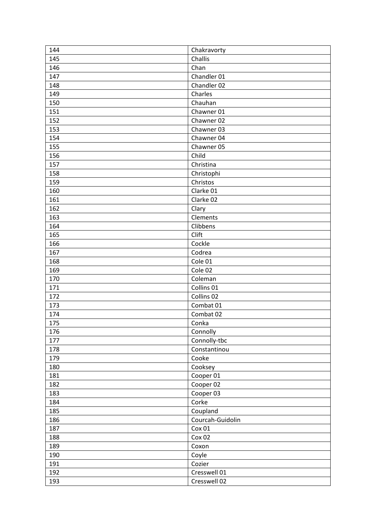| 144 | Chakravorty      |
|-----|------------------|
| 145 | Challis          |
| 146 | Chan             |
| 147 | Chandler 01      |
| 148 | Chandler 02      |
| 149 | Charles          |
| 150 | Chauhan          |
| 151 | Chawner 01       |
| 152 | Chawner 02       |
| 153 | Chawner 03       |
| 154 | Chawner 04       |
| 155 | Chawner 05       |
| 156 | Child            |
| 157 | Christina        |
| 158 | Christophi       |
| 159 | Christos         |
| 160 | Clarke 01        |
| 161 | Clarke 02        |
| 162 | Clary            |
| 163 | Clements         |
| 164 | Clibbens         |
| 165 | Clift            |
| 166 | Cockle           |
| 167 | Codrea           |
| 168 | Cole 01          |
| 169 | Cole 02          |
| 170 | Coleman          |
| 171 | Collins 01       |
| 172 | Collins 02       |
| 173 | Combat 01        |
| 174 | Combat 02        |
| 175 | Conka            |
| 176 | Connolly         |
| 177 | Connolly-tbc     |
| 178 | Constantinou     |
| 179 | Cooke            |
| 180 | Cooksey          |
| 181 | Cooper 01        |
| 182 | Cooper 02        |
| 183 | Cooper 03        |
| 184 | Corke            |
| 185 | Coupland         |
| 186 | Courcah-Guidolin |
| 187 | Cox 01           |
| 188 | Cox 02           |
| 189 | Coxon            |
| 190 | Coyle            |
| 191 | Cozier           |
| 192 | Cresswell 01     |
| 193 | Cresswell 02     |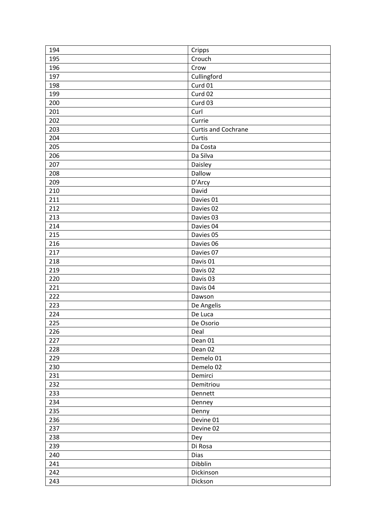| 194        | Cripps                     |
|------------|----------------------------|
| 195        | Crouch                     |
| 196        | Crow                       |
| 197        | Cullingford                |
| 198        | Curd 01                    |
| 199        | Curd 02                    |
| 200        | Curd 03                    |
| 201        | Curl                       |
| 202        | Currie                     |
| 203        | <b>Curtis and Cochrane</b> |
| 204        | Curtis                     |
| 205        | Da Costa                   |
| 206        | Da Silva                   |
| 207        | Daisley                    |
| 208        | Dallow                     |
| 209        | D'Arcy                     |
| 210        | David                      |
| 211        | Davies 01                  |
| 212        | Davies 02                  |
| 213        | Davies 03                  |
| 214        | Davies 04                  |
| 215        | Davies 05                  |
| 216        | Davies 06                  |
| 217        | Davies 07                  |
| 218        | Davis 01                   |
| 219        | Davis 02                   |
| 220        | Davis 03                   |
| 221        | Davis 04                   |
| 222        | Dawson                     |
| 223        |                            |
| 224        | De Angelis<br>De Luca      |
| 225        |                            |
|            | De Osorio                  |
| 226<br>227 | Deal                       |
|            | Dean 01                    |
| 228        | Dean 02                    |
| 229        | Demelo 01                  |
| 230        | Demelo 02                  |
| 231        | Demirci                    |
| 232        | Demitriou                  |
| 233        | Dennett                    |
| 234        | Denney                     |
| 235        | Denny                      |
| 236        | Devine 01                  |
| 237        | Devine 02                  |
| 238        | Dey                        |
| 239        | Di Rosa                    |
| 240        | Dias                       |
| 241        | Dibblin                    |
| 242        | Dickinson                  |
| 243        | Dickson                    |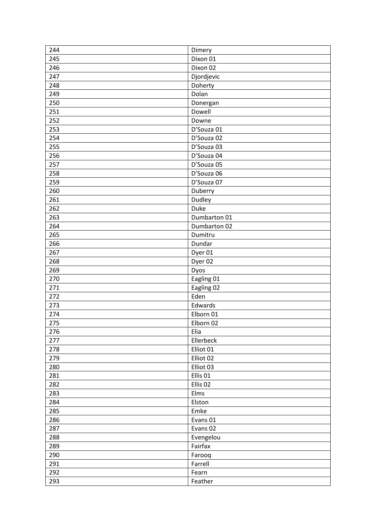| 244 | Dimery              |
|-----|---------------------|
| 245 | Dixon 01            |
| 246 | Dixon 02            |
| 247 | Djordjevic          |
| 248 | Doherty             |
| 249 | Dolan               |
| 250 | Donergan            |
| 251 | Dowell              |
| 252 | Downe               |
| 253 | D'Souza 01          |
| 254 | D'Souza 02          |
| 255 | D'Souza 03          |
| 256 | D'Souza 04          |
| 257 | D'Souza 05          |
| 258 | D'Souza 06          |
| 259 | D'Souza 07          |
| 260 | Duberry             |
| 261 | Dudley              |
| 262 | Duke                |
| 263 | Dumbarton 01        |
| 264 | Dumbarton 02        |
| 265 | Dumitru             |
| 266 | Dundar              |
| 267 | Dyer 01             |
| 268 | Dyer 02             |
| 269 | Dyos                |
| 270 | Eagling 01          |
| 271 | Eagling 02          |
| 272 | Eden                |
| 273 | Edwards             |
| 274 | Elborn 01           |
| 275 | Elborn 02           |
| 276 | Elia                |
| 277 | Ellerbeck           |
| 278 | Elliot 01           |
| 279 | Elliot 02           |
| 280 | Elliot 03           |
| 281 | Ellis <sub>01</sub> |
| 282 | Ellis <sub>02</sub> |
| 283 | Elms                |
| 284 | Elston              |
| 285 | Emke                |
| 286 | Evans 01            |
| 287 | Evans 02            |
| 288 | Evengelou           |
| 289 | Fairfax             |
| 290 | Farooq              |
| 291 | Farrell             |
| 292 | Fearn               |
| 293 | Feather             |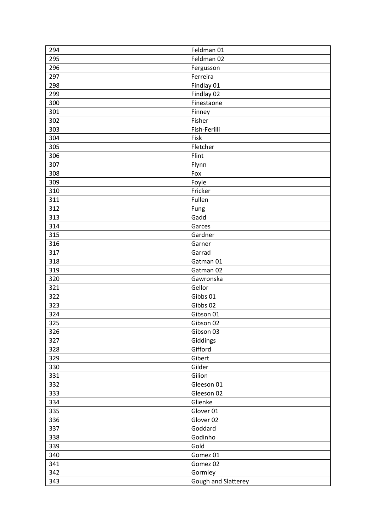| 294 | Feldman 01          |
|-----|---------------------|
| 295 | Feldman 02          |
| 296 | Fergusson           |
| 297 | Ferreira            |
| 298 | Findlay 01          |
| 299 | Findlay 02          |
| 300 | Finestaone          |
| 301 | Finney              |
| 302 | Fisher              |
| 303 | Fish-Ferilli        |
| 304 | Fisk                |
| 305 | Fletcher            |
| 306 | Flint               |
| 307 | Flynn               |
| 308 | Fox                 |
| 309 | Foyle               |
| 310 | Fricker             |
| 311 | Fullen              |
| 312 | Fung                |
| 313 | Gadd                |
| 314 | Garces              |
| 315 | Gardner             |
| 316 | Garner              |
| 317 | Garrad              |
| 318 | Gatman 01           |
| 319 | Gatman 02           |
| 320 | Gawronska           |
| 321 | Gellor              |
|     | Gibbs 01            |
| 322 |                     |
| 323 | Gibbs 02            |
| 324 | Gibson 01           |
| 325 | Gibson 02           |
| 326 | Gibson 03           |
| 327 | Giddings            |
| 328 | Gifford             |
| 329 | Gibert              |
| 330 | Gilder              |
| 331 | Gilion              |
| 332 | Gleeson 01          |
| 333 | Gleeson 02          |
| 334 | Glienke             |
| 335 | Glover 01           |
| 336 | Glover 02           |
| 337 | Goddard             |
| 338 | Godinho             |
| 339 | Gold                |
| 340 | Gomez 01            |
| 341 | Gomez 02            |
| 342 | Gormley             |
| 343 | Gough and Slatterey |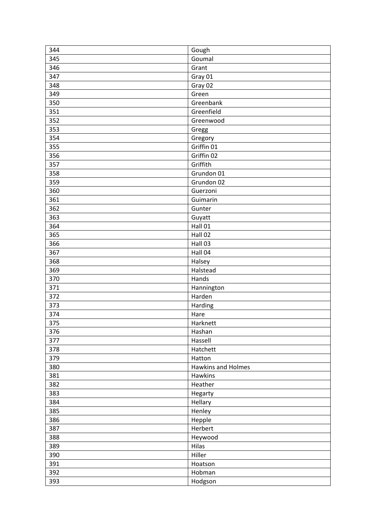| 344 | Gough                     |
|-----|---------------------------|
| 345 | Goumal                    |
| 346 | Grant                     |
| 347 | Gray 01                   |
| 348 | Gray 02                   |
| 349 | Green                     |
| 350 | Greenbank                 |
| 351 | Greenfield                |
| 352 | Greenwood                 |
| 353 | Gregg                     |
| 354 | Gregory                   |
| 355 | Griffin 01                |
| 356 | Griffin 02                |
| 357 | Griffith                  |
| 358 | Grundon 01                |
| 359 | Grundon 02                |
| 360 | Guerzoni                  |
| 361 | Guimarin                  |
| 362 | Gunter                    |
| 363 | Guyatt                    |
| 364 | Hall 01                   |
| 365 | Hall 02                   |
| 366 | Hall 03                   |
| 367 | Hall 04                   |
| 368 | Halsey                    |
| 369 | Halstead                  |
| 370 | Hands                     |
| 371 | Hannington                |
| 372 | Harden                    |
| 373 | Harding                   |
| 374 | Hare                      |
| 375 | Harknett                  |
| 376 | Hashan                    |
| 377 | Hassell                   |
| 378 | Hatchett                  |
| 379 | Hatton                    |
| 380 | <b>Hawkins and Holmes</b> |
| 381 | Hawkins                   |
| 382 | Heather                   |
| 383 | Hegarty                   |
| 384 | Hellary                   |
| 385 | Henley                    |
| 386 | Hepple                    |
| 387 | Herbert                   |
| 388 | Heywood                   |
| 389 | Hilas                     |
| 390 | Hiller                    |
| 391 | Hoatson                   |
| 392 | Hobman                    |
| 393 | Hodgson                   |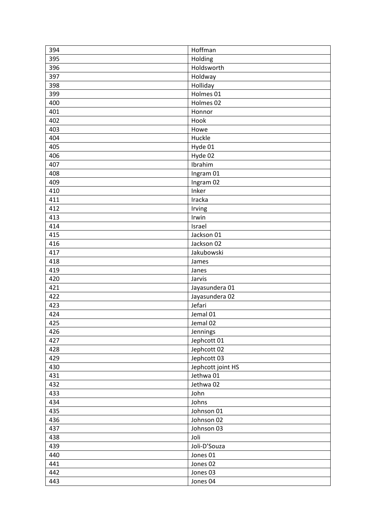| 394 | Hoffman           |
|-----|-------------------|
| 395 | Holding           |
| 396 | Holdsworth        |
| 397 | Holdway           |
| 398 | Holliday          |
| 399 | Holmes 01         |
| 400 | Holmes 02         |
| 401 | Honnor            |
| 402 | Hook              |
| 403 | Howe              |
| 404 | Huckle            |
| 405 | Hyde 01           |
| 406 | Hyde 02           |
| 407 | Ibrahim           |
| 408 | Ingram 01         |
| 409 | Ingram 02         |
| 410 | Inker             |
| 411 | Iracka            |
| 412 | Irving            |
| 413 | Irwin             |
| 414 | Israel            |
| 415 | Jackson 01        |
| 416 | Jackson 02        |
| 417 | Jakubowski        |
| 418 | James             |
| 419 | Janes             |
| 420 | Jarvis            |
| 421 | Jayasundera 01    |
| 422 | Jayasundera 02    |
| 423 | Jefari            |
| 424 | Jemal 01          |
| 425 | Jemal 02          |
| 426 | Jennings          |
| 427 | Jephcott 01       |
| 428 | Jephcott 02       |
| 429 | Jephcott 03       |
| 430 | Jephcott joint HS |
| 431 | Jethwa 01         |
| 432 | Jethwa 02         |
| 433 | John              |
| 434 | Johns             |
| 435 | Johnson 01        |
| 436 | Johnson 02        |
| 437 | Johnson 03        |
| 438 | Joli              |
| 439 | Joli-D'Souza      |
| 440 | Jones 01          |
| 441 | Jones 02          |
| 442 | Jones 03          |
| 443 | Jones 04          |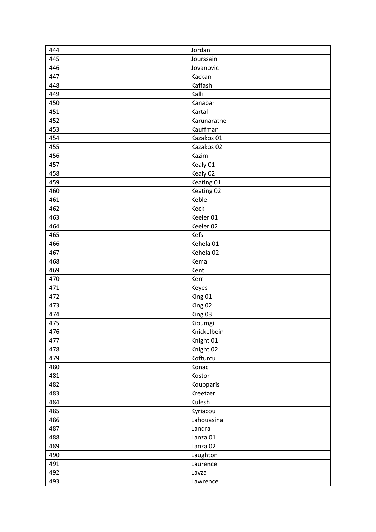| 444 | Jordan      |
|-----|-------------|
| 445 | Jourssain   |
| 446 | Jovanovic   |
| 447 | Kackan      |
| 448 | Kaffash     |
| 449 | Kalli       |
| 450 | Kanabar     |
| 451 | Kartal      |
| 452 | Karunaratne |
| 453 | Kauffman    |
| 454 | Kazakos 01  |
| 455 | Kazakos 02  |
| 456 | Kazim       |
| 457 | Kealy 01    |
| 458 | Kealy 02    |
| 459 | Keating 01  |
| 460 | Keating 02  |
| 461 | Keble       |
| 462 | Keck        |
| 463 | Keeler 01   |
| 464 | Keeler 02   |
| 465 | Kefs        |
| 466 | Kehela 01   |
| 467 | Kehela 02   |
| 468 | Kemal       |
| 469 | Kent        |
| 470 | Kerr        |
| 471 | Keyes       |
| 472 | King 01     |
| 473 | King 02     |
| 474 | King 03     |
| 475 | Kioumgi     |
| 476 | Knickelbein |
| 477 | Knight 01   |
| 478 | Knight 02   |
| 479 | Kofturcu    |
| 480 | Konac       |
| 481 | Kostor      |
| 482 | Koupparis   |
| 483 | Kreetzer    |
| 484 | Kulesh      |
| 485 | Kyriacou    |
| 486 | Lahouasina  |
| 487 | Landra      |
| 488 | Lanza 01    |
| 489 | Lanza 02    |
| 490 | Laughton    |
| 491 | Laurence    |
| 492 | Lavza       |
| 493 | Lawrence    |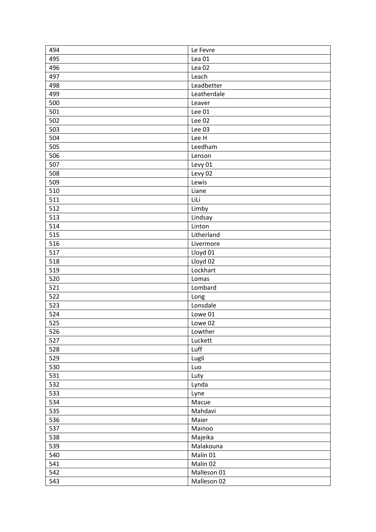| 494 | Le Fevre          |
|-----|-------------------|
| 495 | Lea <sub>01</sub> |
| 496 | Lea <sub>02</sub> |
| 497 | Leach             |
| 498 | Leadbetter        |
| 499 | Leatherdale       |
| 500 | Leaver            |
| 501 | Lee 01            |
| 502 | Lee 02            |
| 503 | Lee 03            |
| 504 | Lee H             |
| 505 | Leedham           |
| 506 | Lenson            |
| 507 | Levy 01           |
| 508 | Levy 02           |
| 509 | Lewis             |
| 510 | Liane             |
| 511 | LiLi              |
| 512 | Limby             |
| 513 | Lindsay           |
| 514 | Linton            |
| 515 | Litherland        |
| 516 | Livermore         |
| 517 | Lloyd 01          |
| 518 | Lloyd 02          |
| 519 | Lockhart          |
| 520 | Lomas             |
| 521 | Lombard           |
| 522 | Long              |
| 523 | Lonsdale          |
| 524 | Lowe 01           |
| 525 | Lowe 02           |
| 526 | Lowther           |
| 527 | Luckett           |
| 528 | Luff              |
| 529 | Lugli             |
| 530 | Luo               |
| 531 | Luty              |
| 532 | Lynda             |
| 533 | Lyne              |
| 534 | Macue             |
| 535 | Mahdavi           |
| 536 | Maier             |
| 537 | Mainoo            |
| 538 | Majeika           |
| 539 | Malakouna         |
| 540 | Malin 01          |
| 541 | Malin 02          |
| 542 | Malleson 01       |
| 543 | Malleson 02       |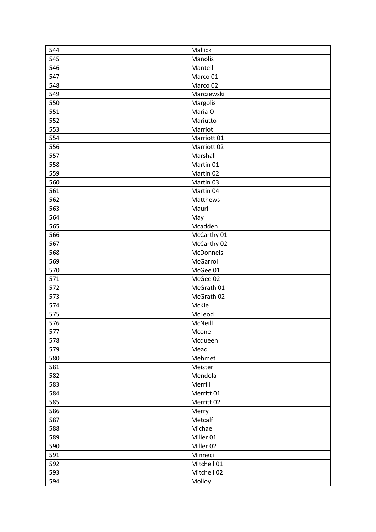| 544 | Mallick                |
|-----|------------------------|
| 545 | Manolis                |
| 546 | Mantell                |
| 547 | Marco 01               |
| 548 | Marco 02               |
| 549 | Marczewski             |
| 550 | Margolis               |
| 551 | Maria O                |
| 552 | Mariutto               |
| 553 | Marriot                |
| 554 | Marriott <sub>01</sub> |
| 556 | Marriott <sub>02</sub> |
| 557 | Marshall               |
| 558 | Martin 01              |
| 559 | Martin 02              |
| 560 | Martin 03              |
| 561 | Martin 04              |
| 562 | Matthews               |
| 563 | Mauri                  |
| 564 | May                    |
| 565 | Mcadden                |
| 566 | McCarthy 01            |
| 567 | McCarthy 02            |
| 568 | McDonnels              |
| 569 | McGarrol               |
| 570 | McGee 01               |
| 571 | McGee 02               |
| 572 | McGrath 01             |
| 573 | McGrath 02             |
| 574 | McKie                  |
| 575 | McLeod                 |
| 576 | McNeill                |
| 577 | Mcone                  |
| 578 | Mcqueen                |
| 579 | Mead                   |
| 580 | Mehmet                 |
| 581 | Meister                |
| 582 | Mendola                |
| 583 | Merrill                |
| 584 | Merritt 01             |
| 585 | Merritt 02             |
| 586 | Merry                  |
| 587 | Metcalf                |
| 588 | Michael                |
| 589 | Miller 01              |
| 590 | Miller 02              |
| 591 | Minneci                |
| 592 | Mitchell 01            |
| 593 | Mitchell 02            |
| 594 | Molloy                 |
|     |                        |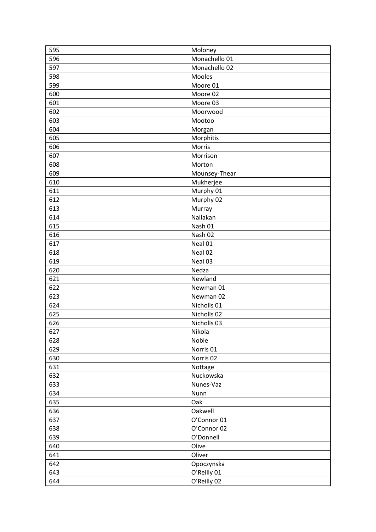| 595 | Moloney       |
|-----|---------------|
| 596 | Monachello 01 |
| 597 | Monachello 02 |
| 598 | Mooles        |
| 599 | Moore 01      |
| 600 | Moore 02      |
| 601 | Moore 03      |
| 602 | Moorwood      |
| 603 | Mootoo        |
| 604 | Morgan        |
| 605 | Morphitis     |
| 606 | Morris        |
| 607 | Morrison      |
| 608 | Morton        |
| 609 | Mounsey-Thear |
| 610 | Mukherjee     |
| 611 | Murphy 01     |
| 612 | Murphy 02     |
| 613 | Murray        |
| 614 | Nallakan      |
| 615 | Nash 01       |
| 616 | Nash 02       |
| 617 | Neal 01       |
| 618 | Neal 02       |
| 619 | Neal 03       |
| 620 | Nedza         |
| 621 | Newland       |
| 622 | Newman 01     |
| 623 | Newman 02     |
| 624 | Nicholls 01   |
| 625 | Nicholls 02   |
| 626 | Nicholls 03   |
| 627 | Nikola        |
| 628 | Noble         |
| 629 | Norris 01     |
| 630 | Norris 02     |
| 631 | Nottage       |
| 632 | Nuckowska     |
| 633 | Nunes-Vaz     |
| 634 | Nunn          |
| 635 | Oak           |
| 636 | Oakwell       |
| 637 | O'Connor 01   |
| 638 | O'Connor 02   |
| 639 | O'Donnell     |
| 640 | Olive         |
| 641 | Oliver        |
|     |               |
| 642 | Opoczynska    |
| 643 | O'Reilly 01   |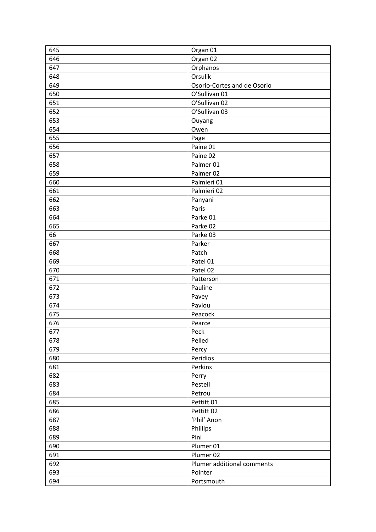| 645 | Organ 01                    |
|-----|-----------------------------|
| 646 | Organ 02                    |
| 647 | Orphanos                    |
| 648 | Orsulik                     |
| 649 | Osorio-Cortes and de Osorio |
| 650 | O'Sullivan 01               |
| 651 | O'Sullivan 02               |
| 652 | O'Sullivan 03               |
| 653 | Ouyang                      |
| 654 | Owen                        |
| 655 | Page                        |
| 656 | Paine 01                    |
| 657 | Paine 02                    |
| 658 | Palmer 01                   |
| 659 | Palmer 02                   |
| 660 | Palmieri 01                 |
| 661 | Palmieri 02                 |
| 662 | Panyani                     |
| 663 | Paris                       |
| 664 | Parke 01                    |
| 665 | Parke 02                    |
| 66  | Parke 03                    |
| 667 | Parker                      |
| 668 | Patch                       |
| 669 | Patel 01                    |
| 670 | Patel 02                    |
| 671 | Patterson                   |
| 672 | Pauline                     |
| 673 | Pavey                       |
| 674 | Pavlou                      |
| 675 | Peacock                     |
| 676 | Pearce                      |
| 677 | Peck                        |
| 678 | Pelled                      |
| 679 | Percy                       |
| 680 | Peridios                    |
| 681 | Perkins                     |
| 682 | Perry                       |
| 683 | Pestell                     |
| 684 | Petrou                      |
| 685 | Pettitt 01                  |
| 686 | Pettitt 02                  |
| 687 | 'Phil' Anon                 |
| 688 | Phillips                    |
| 689 | Pini                        |
| 690 | Plumer 01                   |
| 691 | Plumer 02                   |
| 692 | Plumer additional comments  |
| 693 | Pointer                     |
| 694 | Portsmouth                  |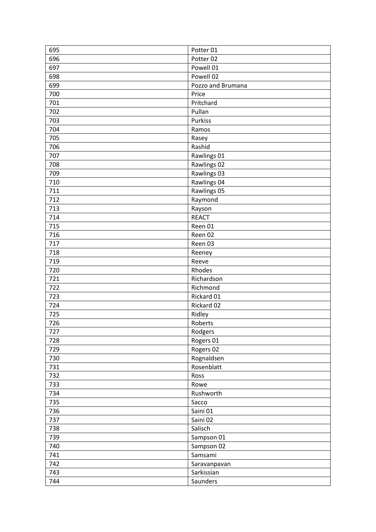| 695 | Potter 01         |
|-----|-------------------|
| 696 | Potter 02         |
| 697 | Powell 01         |
| 698 | Powell 02         |
| 699 | Pozzo and Brumana |
| 700 | Price             |
| 701 | Pritchard         |
| 702 | Pullan            |
| 703 | Purkiss           |
| 704 | Ramos             |
| 705 | Rasey             |
| 706 | Rashid            |
| 707 | Rawlings 01       |
| 708 | Rawlings 02       |
| 709 | Rawlings 03       |
| 710 | Rawlings 04       |
| 711 | Rawlings 05       |
| 712 | Raymond           |
| 713 | Rayson            |
| 714 | <b>REACT</b>      |
| 715 | Reen 01           |
| 716 | Reen 02           |
| 717 | Reen 03           |
| 718 | Reeney            |
| 719 | Reeve             |
| 720 | Rhodes            |
| 721 | Richardson        |
| 722 | Richmond          |
| 723 | Rickard 01        |
| 724 | Rickard 02        |
| 725 | Ridley            |
| 726 | Roberts           |
| 727 | Rodgers           |
| 728 | Rogers 01         |
| 729 | Rogers 02         |
| 730 | Rognaldsen        |
| 731 | Rosenblatt        |
| 732 | Ross              |
| 733 | Rowe              |
| 734 | Rushworth         |
| 735 | Sacco             |
| 736 | Saini 01          |
| 737 | Saini 02          |
| 738 | Salisch           |
| 739 | Sampson 01        |
| 740 | Sampson 02        |
| 741 | Samsami           |
| 742 | Saravanpavan      |
| 743 | Sarkissian        |
| 744 | Saunders          |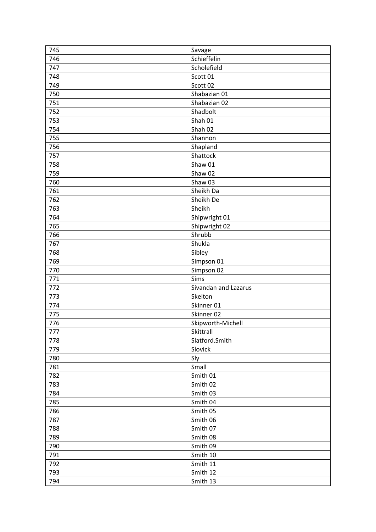| 745 | Savage               |
|-----|----------------------|
| 746 | Schieffelin          |
| 747 | Scholefield          |
| 748 | Scott 01             |
| 749 | Scott 02             |
| 750 | Shabazian 01         |
| 751 | Shabazian 02         |
| 752 | Shadbolt             |
| 753 | Shah 01              |
| 754 | Shah 02              |
| 755 | Shannon              |
| 756 | Shapland             |
| 757 | Shattock             |
| 758 | Shaw 01              |
| 759 | Shaw 02              |
| 760 | Shaw 03              |
| 761 | Sheikh Da            |
| 762 | Sheikh De            |
| 763 | Sheikh               |
| 764 | Shipwright 01        |
| 765 | Shipwright 02        |
| 766 | Shrubb               |
| 767 | Shukla               |
| 768 | Sibley               |
| 769 | Simpson 01           |
|     |                      |
| 770 | Simpson 02           |
| 771 | Sims                 |
| 772 | Sivandan and Lazarus |
| 773 | Skelton              |
| 774 | Skinner 01           |
| 775 | Skinner 02           |
| 776 | Skipworth-Michell    |
| 777 | Skittrall            |
| 778 | Slatford.Smith       |
| 779 | Slovick              |
| 780 | Sly                  |
| 781 | Small                |
| 782 | Smith 01             |
| 783 | Smith 02             |
| 784 | Smith 03             |
| 785 | Smith 04             |
| 786 | Smith 05             |
| 787 | Smith 06             |
| 788 | Smith 07             |
| 789 | Smith 08             |
| 790 | Smith 09             |
| 791 | Smith 10             |
| 792 | Smith 11             |
| 793 | Smith 12             |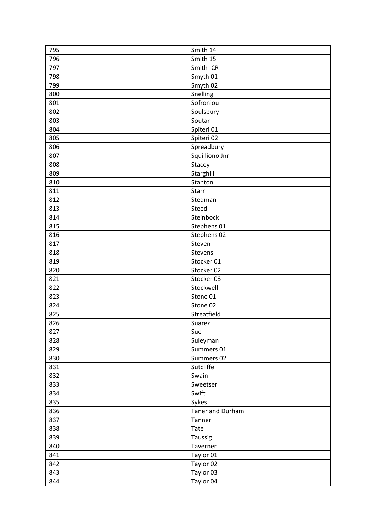| 795 | Smith 14         |
|-----|------------------|
| 796 | Smith 15         |
| 797 | Smith-CR         |
| 798 | Smyth 01         |
| 799 | Smyth 02         |
| 800 | Snelling         |
| 801 | Sofroniou        |
| 802 | Soulsbury        |
| 803 | Soutar           |
| 804 | Spiteri 01       |
| 805 | Spiteri 02       |
| 806 | Spreadbury       |
| 807 | Squilliono Jnr   |
| 808 | Stacey           |
| 809 | Starghill        |
| 810 | Stanton          |
| 811 | Starr            |
| 812 | Stedman          |
| 813 | Steed            |
| 814 | Steinbock        |
| 815 | Stephens 01      |
| 816 | Stephens 02      |
| 817 | Steven           |
| 818 | Stevens          |
| 819 | Stocker 01       |
| 820 | Stocker 02       |
| 821 | Stocker 03       |
| 822 | Stockwell        |
| 823 | Stone 01         |
| 824 | Stone 02         |
| 825 | Streatfield      |
| 826 | Suarez           |
| 827 | Sue              |
| 828 | Suleyman         |
| 829 | Summers 01       |
| 830 | Summers 02       |
| 831 | Sutcliffe        |
| 832 | Swain            |
| 833 | Sweetser         |
| 834 | Swift            |
| 835 | Sykes            |
| 836 | Taner and Durham |
| 837 | Tanner           |
| 838 | Tate             |
| 839 | Taussig          |
| 840 | Taverner         |
| 841 | Taylor 01        |
| 842 | Taylor 02        |
| 843 | Taylor 03        |
| 844 | Taylor 04        |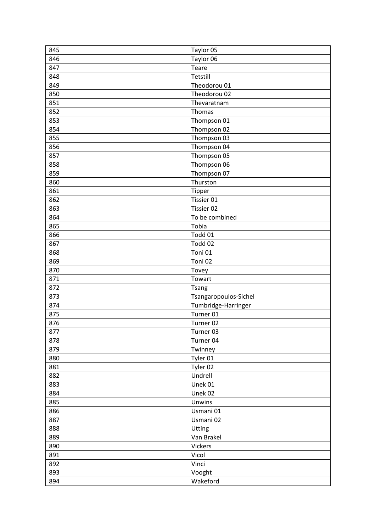| 845 | Taylor 05             |
|-----|-----------------------|
| 846 | Taylor 06             |
| 847 | Teare                 |
| 848 | Tetstill              |
| 849 | Theodorou 01          |
| 850 | Theodorou 02          |
| 851 | Thevaratnam           |
| 852 | Thomas                |
| 853 | Thompson 01           |
| 854 | Thompson 02           |
| 855 | Thompson 03           |
| 856 | Thompson 04           |
| 857 | Thompson 05           |
| 858 | Thompson 06           |
| 859 | Thompson 07           |
| 860 | Thurston              |
| 861 | Tipper                |
| 862 | Tissier 01            |
| 863 | Tissier 02            |
| 864 | To be combined        |
| 865 | Tobia                 |
| 866 | Todd 01               |
| 867 | Todd 02               |
| 868 | Toni 01               |
| 869 | Toni 02               |
|     |                       |
| 870 | Tovey                 |
| 871 | Towart                |
| 872 | <b>Tsang</b>          |
| 873 | Tsangaropoulos-Sichel |
| 874 | Tumbridge-Harringer   |
| 875 | Turner 01             |
| 876 | Turner 02             |
| 877 | Turner 03             |
| 878 | Turner 04             |
| 879 | Twinney               |
| 880 | Tyler 01              |
| 881 | Tyler 02              |
| 882 | Undrell               |
| 883 | Unek 01               |
| 884 | Unek 02               |
| 885 | Unwins                |
| 886 | Usmani 01             |
| 887 | Usmani 02             |
| 888 | Utting                |
| 889 | Van Brakel            |
| 890 | <b>Vickers</b>        |
| 891 | Vicol                 |
| 892 | Vinci                 |
| 893 | Vooght                |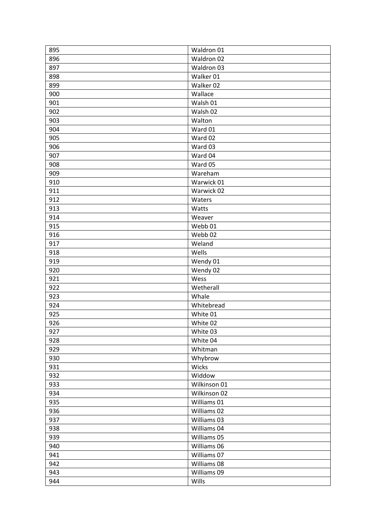| 895 | Waldron 01   |
|-----|--------------|
| 896 | Waldron 02   |
| 897 | Waldron 03   |
| 898 | Walker 01    |
| 899 | Walker 02    |
| 900 | Wallace      |
| 901 | Walsh 01     |
| 902 | Walsh 02     |
| 903 | Walton       |
| 904 | Ward 01      |
| 905 | Ward 02      |
| 906 | Ward 03      |
| 907 | Ward 04      |
| 908 | Ward 05      |
| 909 | Wareham      |
| 910 | Warwick 01   |
| 911 | Warwick 02   |
| 912 | Waters       |
| 913 | Watts        |
| 914 | Weaver       |
| 915 | Webb 01      |
| 916 | Webb 02      |
| 917 | Weland       |
| 918 | Wells        |
| 919 | Wendy 01     |
| 920 | Wendy 02     |
| 921 | Wess         |
| 922 | Wetherall    |
| 923 | Whale        |
| 924 | Whitebread   |
| 925 | White 01     |
| 926 | White 02     |
| 927 | White 03     |
| 928 | White 04     |
| 929 | Whitman      |
| 930 | Whybrow      |
| 931 | Wicks        |
| 932 | Widdow       |
| 933 | Wilkinson 01 |
| 934 | Wilkinson 02 |
| 935 | Williams 01  |
| 936 | Williams 02  |
| 937 | Williams 03  |
| 938 | Williams 04  |
| 939 | Williams 05  |
| 940 | Williams 06  |
| 941 | Williams 07  |
| 942 | Williams 08  |
| 943 | Williams 09  |
| 944 | Wills        |